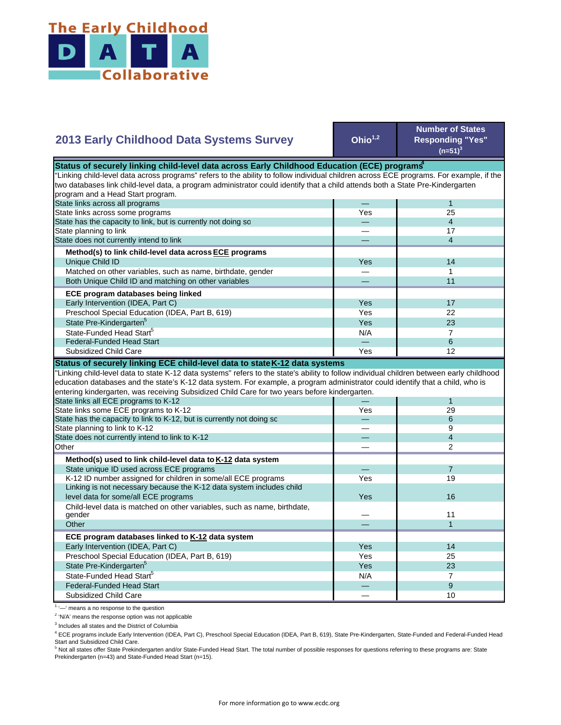

## **2013 Early Childhood Data Systems Survey**

**Ohio1,2**

**Number of States Responding "Yes"**   $(n=51)^3$ 

| Status of securely linking child-level data across Early Childhood Education (ECE) programs <sup>4</sup><br>"Linking child-level data across programs" refers to the ability to follow individual children across ECE programs. For example, if the<br>two databases link child-level data, a program administrator could identify that a child attends both a State Pre-Kindergarten |     |                |                                   |  |              |
|---------------------------------------------------------------------------------------------------------------------------------------------------------------------------------------------------------------------------------------------------------------------------------------------------------------------------------------------------------------------------------------|-----|----------------|-----------------------------------|--|--------------|
|                                                                                                                                                                                                                                                                                                                                                                                       |     |                | program and a Head Start program. |  |              |
|                                                                                                                                                                                                                                                                                                                                                                                       |     |                | State links across all programs   |  | $\mathbf{1}$ |
| State links across some programs                                                                                                                                                                                                                                                                                                                                                      | Yes | 25             |                                   |  |              |
| State has the capacity to link, but is currently not doing so                                                                                                                                                                                                                                                                                                                         |     | $\overline{4}$ |                                   |  |              |
| State planning to link                                                                                                                                                                                                                                                                                                                                                                |     | 17             |                                   |  |              |
| State does not currently intend to link                                                                                                                                                                                                                                                                                                                                               |     | $\overline{4}$ |                                   |  |              |
| Method(s) to link child-level data across ECE programs                                                                                                                                                                                                                                                                                                                                |     |                |                                   |  |              |
| Unique Child ID                                                                                                                                                                                                                                                                                                                                                                       | Yes | 14             |                                   |  |              |
| Matched on other variables, such as name, birthdate, gender                                                                                                                                                                                                                                                                                                                           |     | $\mathbf 1$    |                                   |  |              |
| Both Unique Child ID and matching on other variables                                                                                                                                                                                                                                                                                                                                  |     | 11             |                                   |  |              |
| ECE program databases being linked                                                                                                                                                                                                                                                                                                                                                    |     |                |                                   |  |              |
| Early Intervention (IDEA, Part C)                                                                                                                                                                                                                                                                                                                                                     | Yes | 17             |                                   |  |              |
| Preschool Special Education (IDEA, Part B, 619)                                                                                                                                                                                                                                                                                                                                       | Yes | 22             |                                   |  |              |
| State Pre-Kindergarten <sup>5</sup>                                                                                                                                                                                                                                                                                                                                                   | Yes | 23             |                                   |  |              |
| State-Funded Head Start <sup>5</sup>                                                                                                                                                                                                                                                                                                                                                  | N/A | $\overline{7}$ |                                   |  |              |
| <b>Federal-Funded Head Start</b>                                                                                                                                                                                                                                                                                                                                                      |     | 6              |                                   |  |              |
| Subsidized Child Care                                                                                                                                                                                                                                                                                                                                                                 | Yes | 12             |                                   |  |              |
| Status of securely linking ECE child-level data to state K-12 data systems                                                                                                                                                                                                                                                                                                            |     |                |                                   |  |              |
| "Linking child-level data to state K-12 data systems" refers to the state's ability to follow individual children between early childhood                                                                                                                                                                                                                                             |     |                |                                   |  |              |
| education databases and the state's K-12 data system. For example, a program administrator could identify that a child, who is                                                                                                                                                                                                                                                        |     |                |                                   |  |              |
| entering kindergarten, was receiving Subsidized Child Care for two years before kindergarten.                                                                                                                                                                                                                                                                                         |     |                |                                   |  |              |
| State links all ECE programs to K-12                                                                                                                                                                                                                                                                                                                                                  |     | $\mathbf{1}$   |                                   |  |              |
| State links some ECE programs to K-12                                                                                                                                                                                                                                                                                                                                                 | Yes | 29             |                                   |  |              |
| State has the capacity to link to K-12, but is currently not doing so                                                                                                                                                                                                                                                                                                                 |     | 6              |                                   |  |              |
| State planning to link to K-12                                                                                                                                                                                                                                                                                                                                                        |     | 9              |                                   |  |              |
| State does not currently intend to link to K-12                                                                                                                                                                                                                                                                                                                                       |     | 4              |                                   |  |              |
| Other                                                                                                                                                                                                                                                                                                                                                                                 |     | 2              |                                   |  |              |
| Method(s) used to link child-level data to K-12 data system                                                                                                                                                                                                                                                                                                                           |     |                |                                   |  |              |
| State unique ID used across ECE programs                                                                                                                                                                                                                                                                                                                                              |     | $\overline{7}$ |                                   |  |              |
| K-12 ID number assigned for children in some/all ECE programs                                                                                                                                                                                                                                                                                                                         | Yes | 19             |                                   |  |              |
| Linking is not necessary because the K-12 data system includes child                                                                                                                                                                                                                                                                                                                  |     |                |                                   |  |              |
| level data for some/all ECE programs                                                                                                                                                                                                                                                                                                                                                  | Yes | 16             |                                   |  |              |
| Child-level data is matched on other variables, such as name, birthdate,                                                                                                                                                                                                                                                                                                              |     |                |                                   |  |              |
| gender                                                                                                                                                                                                                                                                                                                                                                                |     | 11             |                                   |  |              |
| Other                                                                                                                                                                                                                                                                                                                                                                                 |     |                |                                   |  |              |
|                                                                                                                                                                                                                                                                                                                                                                                       |     | $\mathbf{1}$   |                                   |  |              |
|                                                                                                                                                                                                                                                                                                                                                                                       |     |                |                                   |  |              |
| ECE program databases linked to K-12 data system                                                                                                                                                                                                                                                                                                                                      | Yes | 14             |                                   |  |              |
| Early Intervention (IDEA, Part C)                                                                                                                                                                                                                                                                                                                                                     | Yes | 25             |                                   |  |              |
| Preschool Special Education (IDEA, Part B, 619)                                                                                                                                                                                                                                                                                                                                       | Yes | 23             |                                   |  |              |
| State Pre-Kindergarten <sup>5</sup>                                                                                                                                                                                                                                                                                                                                                   | N/A | $\overline{7}$ |                                   |  |              |
| State-Funded Head Start <sup>5</sup><br><b>Federal-Funded Head Start</b>                                                                                                                                                                                                                                                                                                              |     | 9              |                                   |  |              |

 $1$   $-$  means a no response to the question

<sup>2</sup> 'N/A' means the response option was not applicable

<sup>3</sup> Includes all states and the District of Columbia

4 ECE programs include Early Intervention (IDEA, Part C), Preschool Special Education (IDEA, Part B, 619), State Pre-Kindergarten, State-Funded and Federal-Funded Head

Start and Subsidized Child Care.<br><sup>5</sup> Not all states offer State Prekindergarten and/or State-Funded Head Start. The total number of possible responses for questions referring to these programs are: State Prekindergarten (n=43) and State-Funded Head Start (n=15).